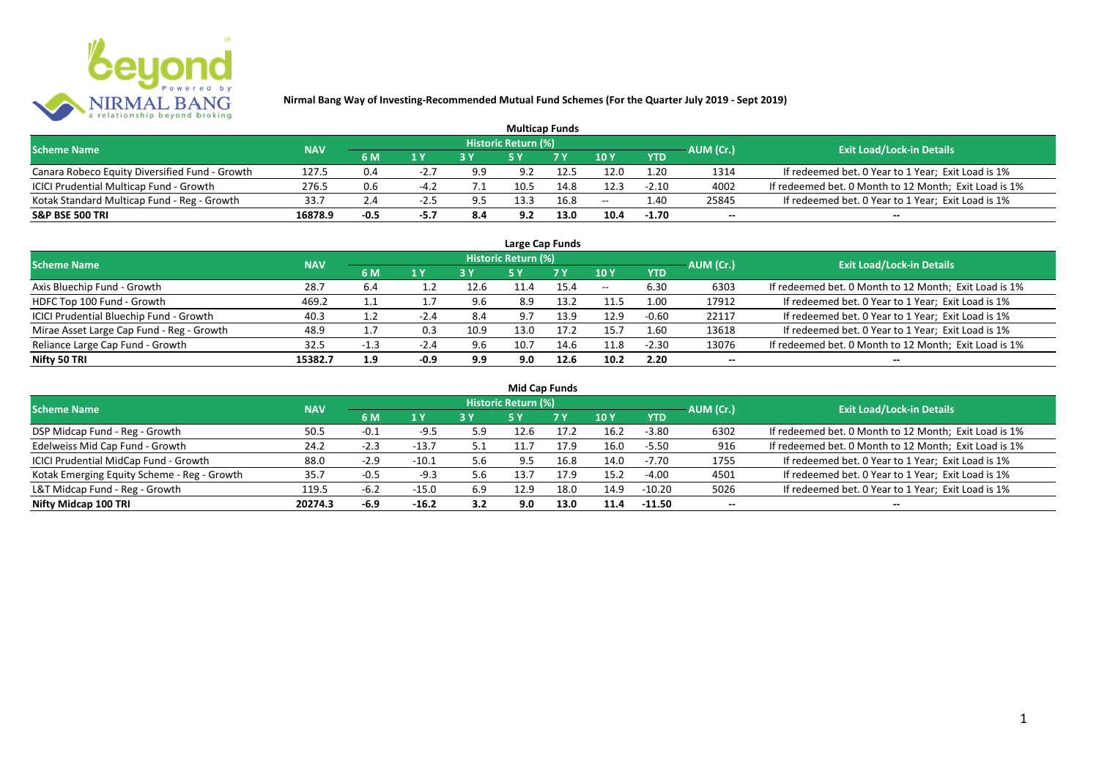

| <b>Multicap Funds</b>                          |            |        |        |     |                     |      |       |            |           |                                                       |  |  |  |
|------------------------------------------------|------------|--------|--------|-----|---------------------|------|-------|------------|-----------|-------------------------------------------------------|--|--|--|
| <b>Scheme Name</b>                             | <b>NAV</b> |        |        |     | Historic Return (%) |      |       |            | AUM (Cr.) | <b>Exit Load/Lock-in Details</b>                      |  |  |  |
|                                                |            | 6 M    | 1 Y    | 2V  |                     | 7 V  | 10 Y  | <b>YTD</b> |           |                                                       |  |  |  |
| Canara Robeco Equity Diversified Fund - Growth | 127.5      | 0.4    |        | 9.9 | 9.2                 | 12.5 | 12.0  | 1.20       | 1314      | If redeemed bet. 0 Year to 1 Year; Exit Load is 1%    |  |  |  |
| ICICI Prudential Multicap Fund - Growth        | 276.5      | 0.6    | $-4.2$ |     |                     | 14.8 | 12.3  | $-2.10$    | 4002      | If redeemed bet. 0 Month to 12 Month; Exit Load is 1% |  |  |  |
| Kotak Standard Multicap Fund - Reg - Growth    | 33.7       | 2.4    | -4.5   | 9.5 | 13.3                | 16.8 | $- -$ | 4.40       | 25845     | If redeemed bet. 0 Year to 1 Year; Exit Load is 1%    |  |  |  |
| <b>S&amp;P BSE 500 TRI</b>                     | 16878.9    | $-0.5$ | -5.7   | 8.4 | 9.2                 | 13.0 | 10.4  | $-1.70$    | $- -$     | $- -$                                                 |  |  |  |

| Large Cap Funds                           |            |            |                |      |                            |           |       |            |           |                                                       |  |  |  |  |
|-------------------------------------------|------------|------------|----------------|------|----------------------------|-----------|-------|------------|-----------|-------------------------------------------------------|--|--|--|--|
| <b>Scheme Name</b>                        | <b>NAV</b> |            |                |      | <b>Historic Return (%)</b> |           |       |            | AUM (Cr.) | <b>Exit Load/Lock-in Details</b>                      |  |  |  |  |
|                                           |            | 6 M        | 1 <sup>Y</sup> | 3 Y  | <b>5 Y</b>                 | <b>7Y</b> | 10Y   | <b>YTD</b> |           |                                                       |  |  |  |  |
| Axis Bluechip Fund - Growth               | 28.7       | 6.4        |                | 12.6 | 11.4                       | 15.4      | $- -$ | 6.30       | 6303      | If redeemed bet. 0 Month to 12 Month; Exit Load is 1% |  |  |  |  |
| HDFC Top 100 Fund - Growth                | 469.2      | ᆠᆠ         |                | 9.6  | 8.9                        | 13.2      | 11.5  | 1.00       | 17912     | If redeemed bet. 0 Year to 1 Year; Exit Load is 1%    |  |  |  |  |
| ICICI Prudential Bluechip Fund - Growth   | 40.3       | <b>1.4</b> | -2.4           | 8.4  | 9.7                        | 13.9      | 12.9  | $-0.60$    | 22117     | If redeemed bet. 0 Year to 1 Year; Exit Load is 1%    |  |  |  |  |
| Mirae Asset Large Cap Fund - Reg - Growth | 48.9       |            | 0.3            | 10.9 | 13.0                       | 17.2      | 15.7  | 1.60       | 13618     | If redeemed bet. 0 Year to 1 Year; Exit Load is 1%    |  |  |  |  |
| Reliance Large Cap Fund - Growth          | 32.5       | $-1.3$     | $-2.4$         | 9.6  | 10.7                       | 14.6      | 11.8  | $-2.30$    | 13076     | If redeemed bet. 0 Month to 12 Month; Exit Load is 1% |  |  |  |  |
| Nifty 50 TRI                              | 15382.7    | 1.9        | $-0.9$         | 9.9  | 9.0                        | 12.6      | 10.2  | 2.20       |           | $- -$                                                 |  |  |  |  |

| <b>Mid Cap Funds</b>                        |            |        |         |     |                     |      |      |            |                          |                                                       |  |  |  |
|---------------------------------------------|------------|--------|---------|-----|---------------------|------|------|------------|--------------------------|-------------------------------------------------------|--|--|--|
| <b>Scheme Name</b>                          | <b>NAV</b> |        |         |     | Historic Return (%) |      |      |            | AUM (Cr.)                | <b>Exit Load/Lock-in Details</b>                      |  |  |  |
|                                             |            | 6 M    | 1 Y     |     | 5 Y                 | 7 Y  | 10Y  | <b>YTD</b> |                          |                                                       |  |  |  |
| DSP Midcap Fund - Reg - Growth              | 50.5       | $-0.1$ | $-9.5$  | 5.9 | 12.6                | 17.2 | 16.2 | $-3.80$    | 6302                     | If redeemed bet. 0 Month to 12 Month; Exit Load is 1% |  |  |  |
| Edelweiss Mid Cap Fund - Growth             | 24.2       | $-2.3$ | $-13.7$ | 5.1 | 11.7                | 17.9 | 16.0 | $-5.50$    | 916                      | If redeemed bet. 0 Month to 12 Month; Exit Load is 1% |  |  |  |
| ICICI Prudential MidCap Fund - Growth       | 88.0       | $-2.9$ | $-10.1$ | 5.6 | 9.5                 | 16.8 | 14.0 | $-7.70$    | 1755                     | If redeemed bet. 0 Year to 1 Year; Exit Load is 1%    |  |  |  |
| Kotak Emerging Equity Scheme - Reg - Growth | 35.7       | $-0.5$ | $-9.3$  | 5.6 | 13.7                | 17.9 | 15.2 | $-4.00$    | 4501                     | If redeemed bet. 0 Year to 1 Year; Exit Load is 1%    |  |  |  |
| L&T Midcap Fund - Reg - Growth              | 119.5      | $-6.2$ | $-15.0$ | 6.9 | 12.9                | 18.0 | 14.9 | $-10.20$   | 5026                     | If redeemed bet. 0 Year to 1 Year; Exit Load is 1%    |  |  |  |
| Nifty Midcap 100 TRI                        | 20274.3    | $-6.9$ | $-16.2$ | 3.2 | 9.0                 | 13.0 | 11.4 | $-11.50$   | $\overline{\phantom{a}}$ | $- -$                                                 |  |  |  |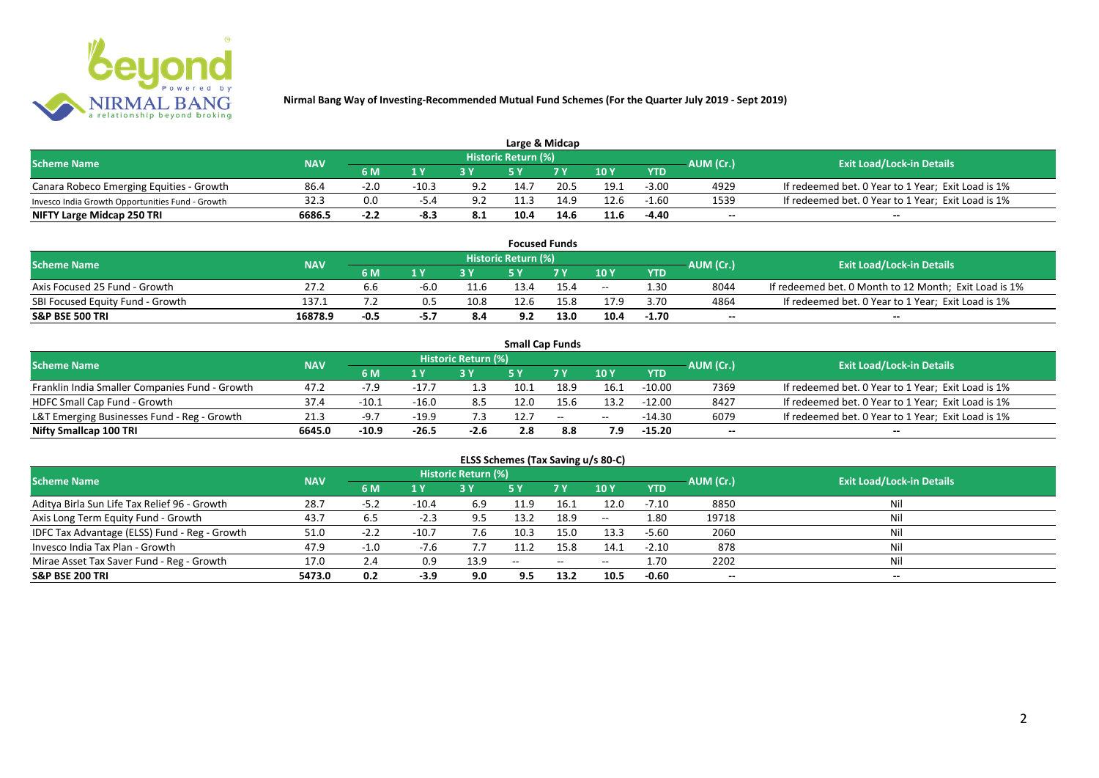

| Large & Midcap                                   |            |        |                   |     |                            |                |      |            |           |                                                    |  |  |  |
|--------------------------------------------------|------------|--------|-------------------|-----|----------------------------|----------------|------|------------|-----------|----------------------------------------------------|--|--|--|
| <b>Scheme Name</b>                               | <b>NAV</b> |        |                   |     | <b>Historic Return (%)</b> |                |      |            | AUM (Cr.) | <b>Exit Load/Lock-in Details</b>                   |  |  |  |
|                                                  |            | 6 M    | $\triangleleft$ V |     |                            | 7 <sub>V</sub> | 10Y  | <b>YTD</b> |           |                                                    |  |  |  |
| Canara Robeco Emerging Equities - Growth         | 86.4       | $-2.0$ | $-10.3$           | 9.2 | 14.7                       | 20.5           | 19.1 | $-3.00$    | 4929      | If redeemed bet. 0 Year to 1 Year; Exit Load is 1% |  |  |  |
| Invesco India Growth Opportunities Fund - Growth | 32.3       |        |                   | 9.2 | 11.3                       | 14.9           | 12.6 | -1.60      | 1539      | If redeemed bet. 0 Year to 1 Year; Exit Load is 1% |  |  |  |
| NIFTY Large Midcap 250 TRI                       | 6686.5     | $-2.2$ | -8.3              | 8.1 | 10.4                       | 14.6           | 11.6 | $-4.40$    | $- -$     | $- -$                                              |  |  |  |

| <b>Focused Funds</b>             |            |        |      |      |                     |      |       |            |           |                                                       |  |  |  |
|----------------------------------|------------|--------|------|------|---------------------|------|-------|------------|-----------|-------------------------------------------------------|--|--|--|
| <b>Scheme Name</b>               | <b>NAV</b> |        |      |      | Historic Return (%) |      |       |            | AUM (Cr.) | <b>Exit Load/Lock-in Details</b>                      |  |  |  |
|                                  |            | 6 M    | 1 V  |      | cν                  | 7 V  | 10 Y  | <b>YTD</b> |           |                                                       |  |  |  |
| Axis Focused 25 Fund - Growth    | 27.2       | b.b    | -6.0 | 11.6 | 13.4                | 15.4 | $- -$ | 1.30       | 8044      | If redeemed bet. 0 Month to 12 Month; Exit Load is 1% |  |  |  |
| SBI Focused Equity Fund - Growth | 137.1      |        |      | 10.8 | 12.6                | 15.8 | 17.9  | 3.70       | 4864      | If redeemed bet. 0 Year to 1 Year; Exit Load is 1%    |  |  |  |
| <b>S&amp;P BSE 500 TRI</b>       | 16878.9    | $-0.5$ | -5.7 | 8.4  | 9.2                 | 13.0 | 10.4  | $-1.70$    | $- -$     | $- -$                                                 |  |  |  |

| <b>Small Cap Funds</b>                         |            |         |         |                     |      |               |       |            |           |                                                    |  |  |  |
|------------------------------------------------|------------|---------|---------|---------------------|------|---------------|-------|------------|-----------|----------------------------------------------------|--|--|--|
| <b>Scheme Name</b>                             | <b>NAV</b> |         |         | Historic Return (%) |      |               |       |            | AUM (Cr.) | <b>Exit Load/Lock-in Details</b>                   |  |  |  |
|                                                |            | 6 M     |         |                     |      | 7 Y           | 10Y   | <b>YTD</b> |           |                                                    |  |  |  |
| Franklin India Smaller Companies Fund - Growth | 47.2       | $-7.9$  | $-17.7$ | 1.3                 | 10.1 | 18.9          | 16.1  | $-10.00$   | 7369      | If redeemed bet. 0 Year to 1 Year; Exit Load is 1% |  |  |  |
| HDFC Small Cap Fund - Growth                   | 37.4       | $-10.1$ | $-16.0$ | 8.5                 | 12.0 |               | 13.2  | $-12.00$   | 8427      | If redeemed bet. 0 Year to 1 Year; Exit Load is 1% |  |  |  |
| L&T Emerging Businesses Fund - Reg - Growth    | 21.3       | $-9.7$  | $-19.9$ | 7.3                 | 12.7 | $\sim$ $\sim$ | $- -$ | $-14.30$   | 6079      | If redeemed bet. 0 Year to 1 Year; Exit Load is 1% |  |  |  |
| Nifty Smallcap 100 TRI                         | 6645.0     | $-10.9$ | $-26.5$ | $-2.6$              | 2.8  | 8.8           |       | $-15.20$   | --        | --                                                 |  |  |  |

# **ELSS Schemes (Tax Saving u/s 80-C)**

| <b>Scheme Name</b>                            | <b>NAV</b> |        |         | <b>Historic Return (%)</b> |            |            |               |            | AUM (Cr.) | Exit Load/Lock-in Details |
|-----------------------------------------------|------------|--------|---------|----------------------------|------------|------------|---------------|------------|-----------|---------------------------|
|                                               |            | 6 M    | 1 Y     |                            | <b>5 Y</b> | <b>7 Y</b> | 10Y           | <b>YTD</b> |           |                           |
| Aditya Birla Sun Life Tax Relief 96 - Growth  | 28.7       | $-5.2$ | $-10.4$ | 6.9                        | 11.9       | 16.1       | 12.0          | $-7.10$    | 8850      | Nil                       |
| Axis Long Term Equity Fund - Growth           | 43.7       | 6.5    | $-2.3$  | 9.5                        | 13.2       | 18.9       | $\sim$ $\sim$ | 1.80       | 19718     | Nil                       |
| IDFC Tax Advantage (ELSS) Fund - Reg - Growth | 51.0       | $-2.2$ | $-10.7$ | 7.6                        | 10.3       | 15.0       | 13.3          | $-5.60$    | 2060      | Nil                       |
| Invesco India Tax Plan - Growth               | 47.9       | $-1.0$ | -7.6    |                            | 11.2       | 15.8       | 14.1          | $-2.10$    | 878       | Nil                       |
| Mirae Asset Tax Saver Fund - Reg - Growth     | 17.0       | 2.4    | 0.9     | 13.9                       | $- -$      | $- -$      | $- -$         | 1.70       | 2202      | Nil                       |
| <b>S&amp;P BSE 200 TRI</b>                    | 5473.0     | 0.2    | $-3.9$  | 9.0                        | 9.5        | 13.2       | 10.5          | $-0.60$    | $- -$     | $- -$                     |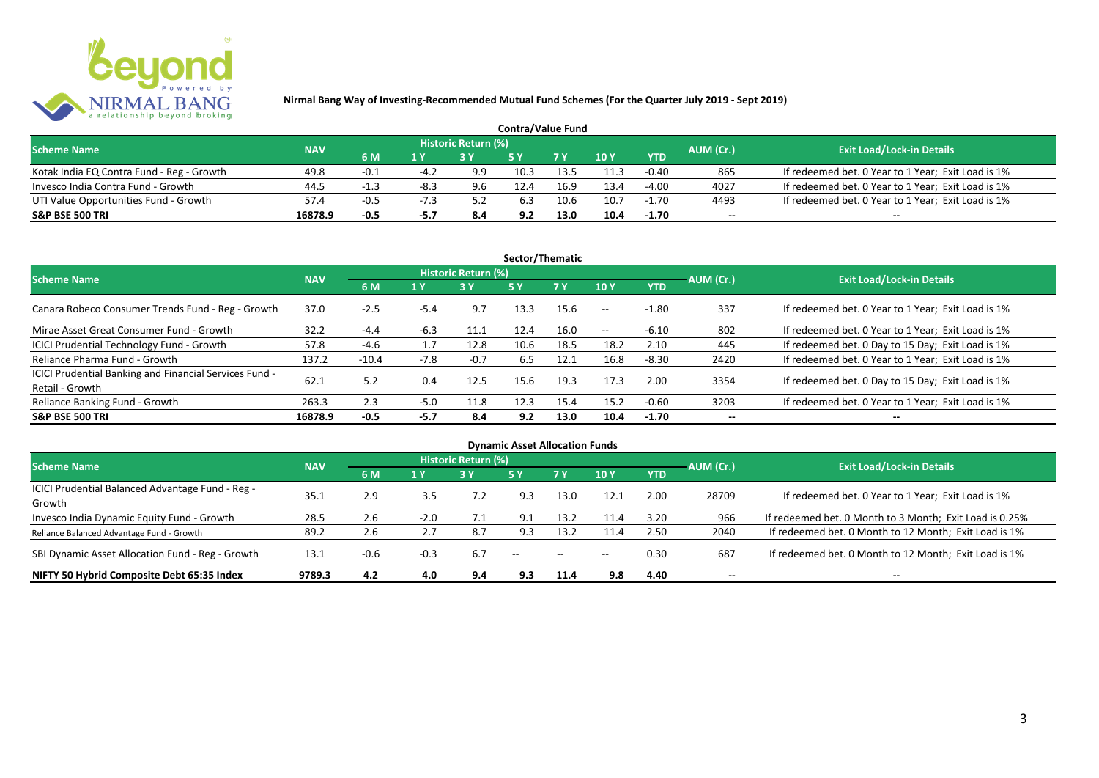

| <b>Contra/Value Fund</b>                  |            |        |      |                     |      |                |      |            |           |                                                    |  |  |  |
|-------------------------------------------|------------|--------|------|---------------------|------|----------------|------|------------|-----------|----------------------------------------------------|--|--|--|
| <b>Scheme Name</b>                        | <b>NAV</b> |        |      | Historic Return (%) |      |                |      |            | AUM (Cr.) | <b>Exit Load/Lock-in Details</b>                   |  |  |  |
|                                           |            | 6 M    |      |                     |      | 7 <sub>Y</sub> | 10 Y | <b>YTD</b> |           |                                                    |  |  |  |
| Kotak India EQ Contra Fund - Reg - Growth | 49.8       | $-0.1$ |      | 9.9                 | 10.3 |                | 11.3 | $-0.40$    | 865       | If redeemed bet. 0 Year to 1 Year; Exit Load is 1% |  |  |  |
| Invesco India Contra Fund - Growth        | 44.5       | $-1.3$ | -8.3 | 9.6                 |      | 16.9           | 13.4 | $-4.00$    | 4027      | If redeemed bet. 0 Year to 1 Year; Exit Load is 1% |  |  |  |
| UTI Value Opportunities Fund - Growth     | 57.4       | $-0.5$ |      |                     | 6.3  | 10.6           | 10.7 | $-1.70$    | 4493      | If redeemed bet. 0 Year to 1 Year; Exit Load is 1% |  |  |  |
| <b>S&amp;P BSE 500 TRI</b>                | 16878.9    | $-0.5$ | -5.7 | 8.4                 | 9.2  | 13.0           | 10.4 | $-1.70$    | $-$       | $- -$                                              |  |  |  |

| Sector/Thematic                                                           |            |         |        |                            |            |           |            |            |           |                                                    |  |  |  |
|---------------------------------------------------------------------------|------------|---------|--------|----------------------------|------------|-----------|------------|------------|-----------|----------------------------------------------------|--|--|--|
| <b>Scheme Name</b>                                                        | <b>NAV</b> |         |        | <b>Historic Return (%)</b> |            |           |            |            | AUM (Cr.) | <b>Exit Load/Lock-in Details</b>                   |  |  |  |
|                                                                           |            | 6 M     | 1 Y    | <b>3Y</b>                  | <b>5 Y</b> | <b>7Y</b> | 10Y        | <b>YTD</b> |           |                                                    |  |  |  |
| Canara Robeco Consumer Trends Fund - Reg - Growth                         | 37.0       | $-2.5$  | $-5.4$ | 9.7                        | 13.3       | 15.6      | $\sim$ $-$ | $-1.80$    | 337       | If redeemed bet. 0 Year to 1 Year; Exit Load is 1% |  |  |  |
| Mirae Asset Great Consumer Fund - Growth                                  | 32.2       | $-4.4$  | $-6.3$ | 11.1                       | 12.4       | 16.0      | $\sim$ $-$ | $-6.10$    | 802       | If redeemed bet. 0 Year to 1 Year; Exit Load is 1% |  |  |  |
| <b>ICICI Prudential Technology Fund - Growth</b>                          | 57.8       | $-4.6$  |        | 12.8                       | 10.6       | 18.5      | 18.2       | 2.10       | 445       | If redeemed bet. 0 Day to 15 Day; Exit Load is 1%  |  |  |  |
| Reliance Pharma Fund - Growth                                             | 137.2      | $-10.4$ | -7.8   | $-0.7$                     | 6.5        | 12.1      | 16.8       | $-8.30$    | 2420      | If redeemed bet. 0 Year to 1 Year; Exit Load is 1% |  |  |  |
| ICICI Prudential Banking and Financial Services Fund -<br>Retail - Growth | 62.1       | 5.2     | 0.4    | 12.5                       | 15.6       | 19.3      | 17.3       | 2.00       | 3354      | If redeemed bet. 0 Day to 15 Day; Exit Load is 1%  |  |  |  |
| Reliance Banking Fund - Growth                                            | 263.3      | 2.3     | $-5.0$ | 11.8                       | 12.3       | 15.4      | 15.2       | $-0.60$    | 3203      | If redeemed bet. 0 Year to 1 Year; Exit Load is 1% |  |  |  |
| <b>S&amp;P BSE 500 TRI</b>                                                | 16878.9    | $-0.5$  | $-5.7$ | 8.4                        | 9.2        | 13.0      | 10.4       | $-1.70$    | --        | --                                                 |  |  |  |

| <b>Dynamic Asset Allocation Funds</b>            |            |        |        |                            |               |               |       |            |                          |                                                         |  |  |  |
|--------------------------------------------------|------------|--------|--------|----------------------------|---------------|---------------|-------|------------|--------------------------|---------------------------------------------------------|--|--|--|
| <b>Scheme Name</b>                               | <b>NAV</b> |        |        | <b>Historic Return (%)</b> |               |               |       |            | AUM (Cr.)                | <b>Exit Load/Lock-in Details</b>                        |  |  |  |
|                                                  |            | 6 M    | 1 Y    | 3Y                         | 5 Y           | <b>7Y</b>     | 10Y   | <b>YTD</b> |                          |                                                         |  |  |  |
| ICICI Prudential Balanced Advantage Fund - Reg - | 35.1       | 2.9    | 3.5    |                            | 9.3           | 13.0          | 12.1  | 2.00       | 28709                    | If redeemed bet. 0 Year to 1 Year; Exit Load is 1%      |  |  |  |
| Growth                                           |            |        |        |                            |               |               |       |            |                          |                                                         |  |  |  |
| Invesco India Dynamic Equity Fund - Growth       | 28.5       | 2.6    | $-2.0$ | 7.1                        | 9.1           | 13.2          | 11.4  | 3.20       | 966                      | If redeemed bet. 0 Month to 3 Month; Exit Load is 0.25% |  |  |  |
| Reliance Balanced Advantage Fund - Growth        | 89.2       | 2.6    |        | 8.7                        | 9.3           | 13.2          | 11.4  | 2.50       | 2040                     | If redeemed bet. 0 Month to 12 Month; Exit Load is 1%   |  |  |  |
| SBI Dynamic Asset Allocation Fund - Reg - Growth | 13.1       | $-0.6$ | $-0.3$ | 6.7                        | $\sim$ $\sim$ | $\sim$ $\sim$ | $- -$ | 0.30       | 687                      | If redeemed bet. 0 Month to 12 Month; Exit Load is 1%   |  |  |  |
| NIFTY 50 Hybrid Composite Debt 65:35 Index       | 9789.3     | 4.2    | 4.0    | 9.4                        | 9.3           | 11.4          | 9.8   | 4.40       | $\overline{\phantom{a}}$ | $- -$                                                   |  |  |  |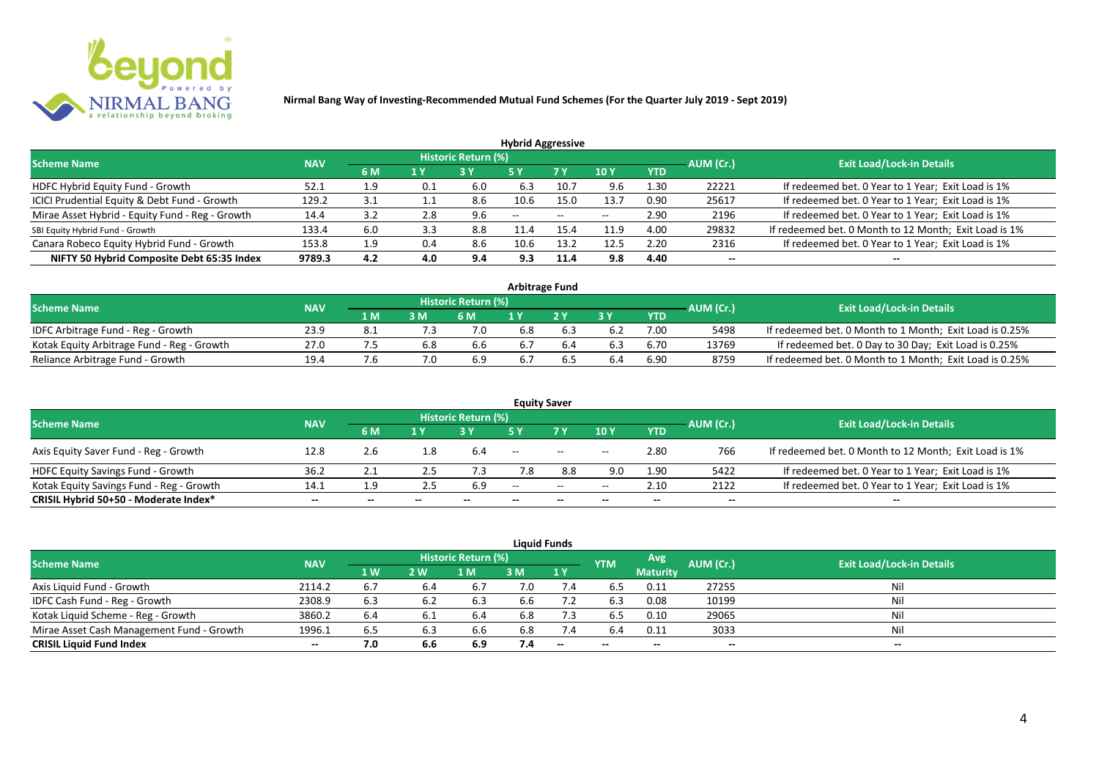

|                                                 |            |     |     |                            | <b>Hybrid Aggressive</b> |                          |                          |            |                          |                                                       |
|-------------------------------------------------|------------|-----|-----|----------------------------|--------------------------|--------------------------|--------------------------|------------|--------------------------|-------------------------------------------------------|
| <b>Scheme Name</b>                              | <b>NAV</b> |     |     | <b>Historic Return (%)</b> |                          |                          |                          |            | AUM (Cr.)                | <b>Exit Load/Lock-in Details</b>                      |
|                                                 |            | 6 M | 1 Y |                            | 5 Y                      | 7 Y                      | 10Y                      | <b>YTD</b> |                          |                                                       |
| HDFC Hybrid Equity Fund - Growth                | 52.1       | 1.9 | 0.1 | 6.0                        | 6.3                      | 10.7                     | 9.6                      | 1.30       | 22221                    | If redeemed bet. 0 Year to 1 Year; Exit Load is 1%    |
| ICICI Prudential Equity & Debt Fund - Growth    | 129.2      | 3.1 | 1.1 | 8.6                        | 10.6                     | 15.0                     | 13.7                     | 0.90       | 25617                    | If redeemed bet. 0 Year to 1 Year; Exit Load is 1%    |
| Mirae Asset Hybrid - Equity Fund - Reg - Growth | 14.4       | 3.2 | 2.8 | 9.6                        | $\overline{\phantom{a}}$ | $\overline{\phantom{a}}$ | $\overline{\phantom{a}}$ | 2.90       | 2196                     | If redeemed bet. 0 Year to 1 Year; Exit Load is 1%    |
| SBI Equity Hybrid Fund - Growth                 | 133.4      | 6.0 | 3.3 | 8.8                        |                          | 15.4                     | 11.9                     | 4.00       | 29832                    | If redeemed bet. 0 Month to 12 Month; Exit Load is 1% |
| Canara Robeco Equity Hybrid Fund - Growth       | 153.8      | 1.9 | 0.4 | 8.6                        | 10.6                     | 13.2                     | 12.5                     | 2.20       | 2316                     | If redeemed bet. 0 Year to 1 Year; Exit Load is 1%    |
| NIFTY 50 Hybrid Composite Debt 65:35 Index      | 9789.3     | 4.2 | 4.0 | 9.4                        | 9.3                      | 11.4                     | 9.8                      | 4.40       | $\overline{\phantom{a}}$ | $- -$                                                 |

| Arbitrage Fund                             |            |     |     |                            |     |    |     |            |           |                                                         |  |  |  |
|--------------------------------------------|------------|-----|-----|----------------------------|-----|----|-----|------------|-----------|---------------------------------------------------------|--|--|--|
| <b>Scheme Name</b>                         | <b>NAV</b> |     |     | <b>Historic Return (%)</b> |     |    |     |            | AUM (Cr.) | <b>Exit Load/Lock-in Details</b>                        |  |  |  |
|                                            |            | 1 M | 3 M | 6 M                        |     | 2V | эv  | <b>YTD</b> |           |                                                         |  |  |  |
| IDFC Arbitrage Fund - Reg - Growth         | 23.9       | 8.1 |     | 7.0                        | 6.8 |    |     | 7.00       | 5498      | If redeemed bet. 0 Month to 1 Month; Exit Load is 0.25% |  |  |  |
| Kotak Equity Arbitrage Fund - Reg - Growth | 27.0       |     | 6.8 | 6.6                        | 6.7 |    |     | 6.70       | 13769     | If redeemed bet. 0 Day to 30 Day; Exit Load is 0.25%    |  |  |  |
| Reliance Arbitrage Fund - Growth           | 19.4       |     |     | 6.9                        | 6.7 |    | b.4 | 6.90       | 8759      | If redeemed bet. 0 Month to 1 Month; Exit Load is 0.25% |  |  |  |

|                                          |            |       |      |                     |       | <b>Equity Saver</b>                                 |       |            |           |                                                       |
|------------------------------------------|------------|-------|------|---------------------|-------|-----------------------------------------------------|-------|------------|-----------|-------------------------------------------------------|
| <b>Scheme Name</b>                       | <b>NAV</b> |       |      | Historic Return (%) |       |                                                     |       |            | AUM (Cr.) | <b>Exit Load/Lock-in Details</b>                      |
|                                          |            | 6 M   | 1 Y  |                     |       | 7 <sub>V</sub>                                      | 10Y   | <b>YTD</b> |           |                                                       |
| Axis Equity Saver Fund - Reg - Growth    | 12.8       | 2.6   | - 8. | 6.4                 | $- -$ | $\hspace{0.1mm}-\hspace{0.1mm}-\hspace{0.1mm}$      | $- -$ | 2.80       | 766       | If redeemed bet. 0 Month to 12 Month; Exit Load is 1% |
| HDFC Equity Savings Fund - Growth        | 36.2       |       |      |                     | 7.8   | 8.8                                                 | 9.0   | 1.90       | 5422      | If redeemed bet. 0 Year to 1 Year; Exit Load is 1%    |
| Kotak Equity Savings Fund - Reg - Growth | 14.1       | 1.9   | 2.5  | 6.9                 | $-$   | $\hspace{0.05cm} -\hspace{0.05cm} -\hspace{0.05cm}$ | $- -$ | 2.10       | 2122      | If redeemed bet. 0 Year to 1 Year; Exit Load is 1%    |
| CRISIL Hybrid 50+50 - Moderate Index*    | $- -$      | $- -$ |      | --                  | --    | $- -$                                               |       | --         | --        | $- -$                                                 |

|                                           |            |           |     |                     |     | <b>Liquid Funds</b>      |            |                 |           |                                  |
|-------------------------------------------|------------|-----------|-----|---------------------|-----|--------------------------|------------|-----------------|-----------|----------------------------------|
| <b>Scheme Name</b>                        | <b>NAV</b> |           |     | Historic Return (%) |     |                          | <b>YTM</b> | Avg             | AUM (Cr.) | <b>Exit Load/Lock-in Details</b> |
|                                           |            | <b>1W</b> | 2 W | M                   | 3 M | 1Y                       |            | <b>Maturity</b> |           |                                  |
| Axis Liquid Fund - Growth                 | 2114.2     | 6.7       |     | 6.7                 | 7.0 | 7.4                      | 6.5        | 0.11            | 27255     | Nil                              |
| IDFC Cash Fund - Reg - Growth             | 2308.9     | 6.3       |     | 6.3                 | 6.6 |                          | 6.3        | 0.08            | 10199     | Nil                              |
| Kotak Liquid Scheme - Reg - Growth        | 3860.2     | 6.4       | 6.1 | 6.4                 | 6.8 | 7.3                      | 6.5        | 0.10            | 29065     | Nil                              |
| Mirae Asset Cash Management Fund - Growth | 1996.1     | 6.5       | 6.3 | 6.6                 | 6.8 | 7.4                      | 6.4        | 0.11            | 3033      | Nil                              |
| <b>CRISIL Liquid Fund Index</b>           | $- -$      | 7.0       | 6.6 | 6.9                 | 7.4 | $\overline{\phantom{a}}$ | $- -$      | $- -$           | $- -$     | $- -$                            |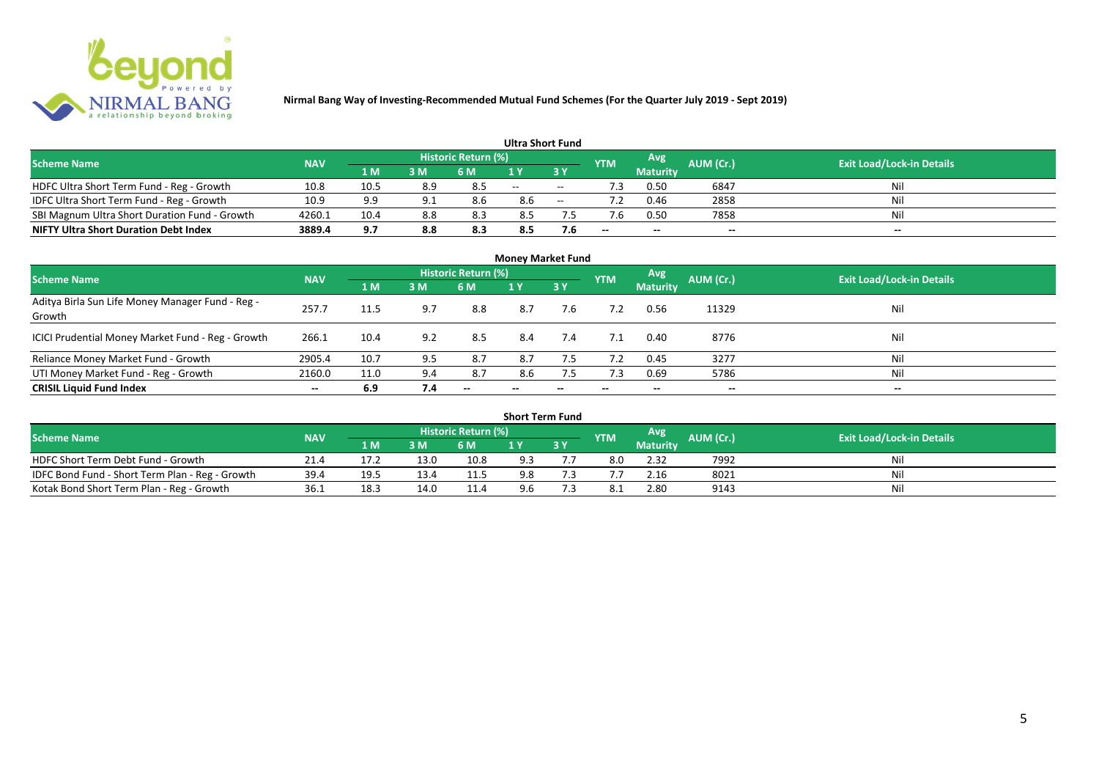

| <b>Ultra Short Fund</b>                       |            |      |     |                            |       |                          |            |                 |           |                                  |  |  |  |
|-----------------------------------------------|------------|------|-----|----------------------------|-------|--------------------------|------------|-----------------|-----------|----------------------------------|--|--|--|
| <b>Scheme Name</b>                            | <b>NAV</b> |      |     | <b>Historic Return (%)</b> |       |                          | <b>YTM</b> | Avg             | AUM (Cr.) | <b>Exit Load/Lock-in Details</b> |  |  |  |
|                                               |            | 1 M  | 3 M | 6 M                        |       | 3 Y                      |            | <b>Maturity</b> |           |                                  |  |  |  |
| HDFC Ultra Short Term Fund - Reg - Growth     | 10.8       | 10.5 | 8.9 | 8.5                        | $- -$ | $\overline{\phantom{a}}$ |            | 0.50            | 6847      | Nil                              |  |  |  |
| IDFC Ultra Short Term Fund - Reg - Growth     | 10.9       | 9.9  |     | 8.6                        | 8.6   | $\sim$                   |            | 0.46            | 2858      | Nil                              |  |  |  |
| SBI Magnum Ultra Short Duration Fund - Growth | 4260.1     | 10.4 | 8.8 | 8.3                        | 8.5   |                          |            | 0.50            | 7858      | Nil                              |  |  |  |
| <b>NIFTY Ultra Short Duration Debt Index</b>  | 3889.4     | 9.7  | 8.8 | 8.3                        | 8.5   | 7.6                      | $-$        | $-$             | $- -$     | $- -$                            |  |  |  |

| <b>Money Market Fund</b>                                   |            |      |     |                     |                          |     |            |                 |           |                                  |  |  |  |
|------------------------------------------------------------|------------|------|-----|---------------------|--------------------------|-----|------------|-----------------|-----------|----------------------------------|--|--|--|
| <b>Scheme Name</b>                                         | <b>NAV</b> |      |     | Historic Return (%) |                          |     | <b>YTM</b> | Avg             | AUM (Cr.) | <b>Exit Load/Lock-in Details</b> |  |  |  |
|                                                            |            | 1 M  | 3M  | 6 M                 | 1Y                       | 3 Y |            | <b>Maturity</b> |           |                                  |  |  |  |
| Aditya Birla Sun Life Money Manager Fund - Reg -<br>Growth | 257.7      | 11.5 | 9.7 | 8.8                 | 8.7                      | 7.6 |            | 0.56            | 11329     | Nil                              |  |  |  |
| ICICI Prudential Money Market Fund - Reg - Growth          | 266.1      | 10.4 | 9.2 | 8.5                 | 8.4                      | 7.4 | 7.1        | 0.40            | 8776      | Nil                              |  |  |  |
| Reliance Money Market Fund - Growth                        | 2905.4     | 10.7 | 9.5 | 8.7                 | 8.7                      | 7.5 | 7.2        | 0.45            | 3277      | Nil                              |  |  |  |
| UTI Money Market Fund - Reg - Growth                       | 2160.0     | 11.0 | 9.4 | 8.7                 | 8.6                      | 7.5 | 7.3        | 0.69            | 5786      | Nil                              |  |  |  |
| <b>CRISIL Liquid Fund Index</b>                            | $- -$      | 6.9  | 7.4 | $- -$               | $\overline{\phantom{a}}$ | --  | $- -$      | $- -$           | $- -$     | $\overline{\phantom{a}}$         |  |  |  |

| <b>Short Term Fund</b>                          |            |      |      |                            |     |     |            |                 |           |                                  |  |  |  |
|-------------------------------------------------|------------|------|------|----------------------------|-----|-----|------------|-----------------|-----------|----------------------------------|--|--|--|
| <b>Scheme Name</b>                              | <b>NAV</b> |      |      | <b>Historic Return (%)</b> |     |     | <b>YTM</b> | Avg             | AUM (Cr.) | <b>Exit Load/Lock-in Details</b> |  |  |  |
|                                                 |            | 1 M  | 3 M  | 6 M                        |     | 3 Y |            | <b>Maturity</b> |           |                                  |  |  |  |
| HDFC Short Term Debt Fund - Growth              | 21.4       | 17.2 | 13.0 | 10.8                       | 9.3 |     |            | 2.32            | 7992      | Nil                              |  |  |  |
| IDFC Bond Fund - Short Term Plan - Reg - Growth | 39.4       | 19.5 | 13.4 | 11.5                       | 9.8 |     |            | 2.16            | 8021      | Nil                              |  |  |  |
| Kotak Bond Short Term Plan - Reg - Growth       | 36.1       | 18.5 | 14.0 | 11.4                       | 9.6 |     |            | 2.80            | 9143      | Nil                              |  |  |  |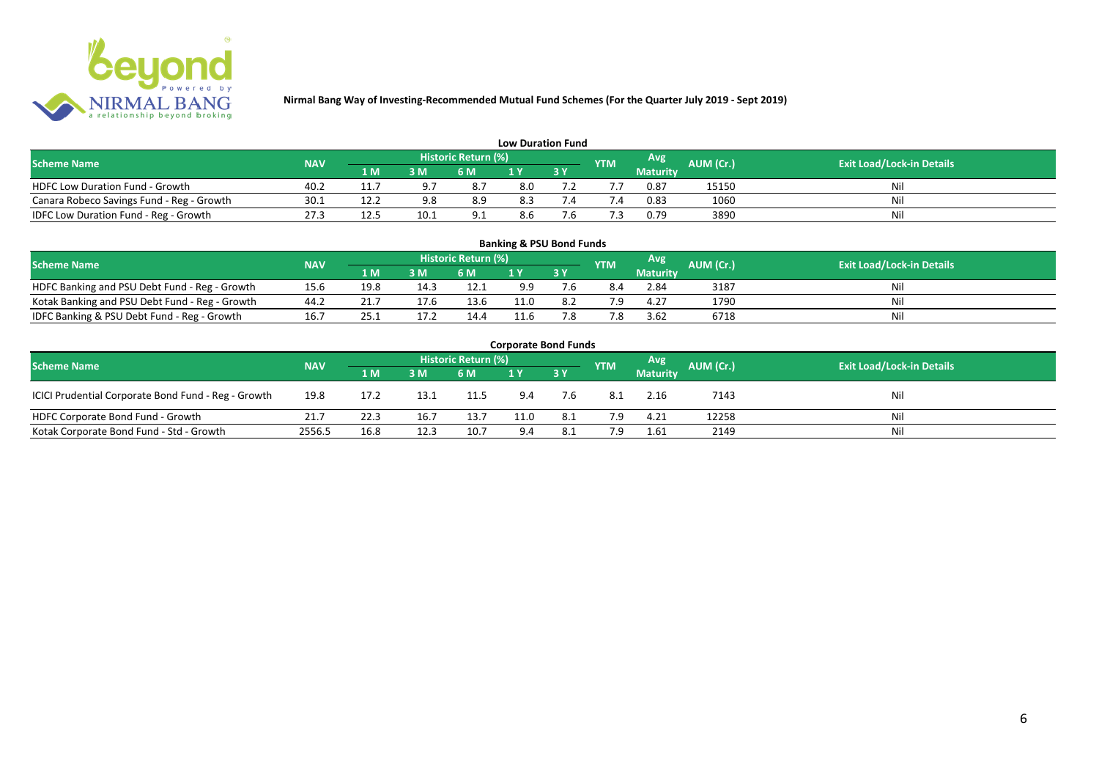

| <b>Low Duration Fund</b>                  |            |      |      |                            |     |  |            |          |           |                                  |  |  |  |  |
|-------------------------------------------|------------|------|------|----------------------------|-----|--|------------|----------|-----------|----------------------------------|--|--|--|--|
| <b>Scheme Name</b>                        | <b>NAV</b> |      |      | <b>Historic Return (%)</b> |     |  | <b>YTM</b> | Avg      | AUM (Cr.) | <b>Exit Load/Lock-in Details</b> |  |  |  |  |
|                                           |            | 1 M  | 3 M  | 6 M                        | 1 Y |  |            | Maturity |           |                                  |  |  |  |  |
| <b>HDFC Low Duration Fund - Growth</b>    | 40.2       |      |      | 8.7                        | 8.0 |  |            | 0.87     | 15150     | Nil                              |  |  |  |  |
| Canara Robeco Savings Fund - Reg - Growth | 30.1       | 12.2 | 9.8  | 8.9                        | 8.3 |  | '.4        | 0.83     | 1060      | Nil                              |  |  |  |  |
| IDFC Low Duration Fund - Reg - Growth     | 27.3       | 12.5 | 10.1 | 9.1                        | 8.6 |  |            | 0.79     | 3890      | Nil                              |  |  |  |  |

| <b>Banking &amp; PSU Bond Funds</b>            |            |      |      |                            |             |    |            |                 |                  |                                  |  |  |  |  |
|------------------------------------------------|------------|------|------|----------------------------|-------------|----|------------|-----------------|------------------|----------------------------------|--|--|--|--|
| <b>Scheme Name</b>                             | <b>NAV</b> |      |      | <b>Historic Return (%)</b> |             |    | <b>YTM</b> | <b>Avg</b>      | <b>AUM (Cr.)</b> | <b>Exit Load/Lock-in Details</b> |  |  |  |  |
|                                                |            | 1 M  | 3 M  | 6 M                        |             | 3Y |            | <b>Maturity</b> |                  |                                  |  |  |  |  |
| HDFC Banking and PSU Debt Fund - Reg - Growth  | 15.6       | 19.8 | 14.3 | 12.1                       | 9.9         |    | 8.4        | 2.84            | 3187             | Ni                               |  |  |  |  |
| Kotak Banking and PSU Debt Fund - Reg - Growth | 44.2       |      |      | 13.6                       | $\cdot$ 1.0 |    | 7 Q        | 4.27            | 1790             | Ni                               |  |  |  |  |
| IDFC Banking & PSU Debt Fund - Reg - Growth    | 16.7       | 25.1 |      | 14.4                       | 11.6        |    | 7.8        | 3.62            | 6718             | Ni                               |  |  |  |  |

| <b>Corporate Bond Funds</b>                         |            |      |      |                     |      |            |            |                 |           |                                  |  |  |  |
|-----------------------------------------------------|------------|------|------|---------------------|------|------------|------------|-----------------|-----------|----------------------------------|--|--|--|
| <b>Scheme Name</b>                                  | <b>NAV</b> |      |      | Historic Return (%) |      |            | <b>YTM</b> | Avg             | AUM (Cr.) | <b>Exit Load/Lock-in Details</b> |  |  |  |
|                                                     |            | 1 M  | 3 M  | 6 M                 |      | <b>3 Y</b> |            | <b>Maturity</b> |           |                                  |  |  |  |
| ICICI Prudential Corporate Bond Fund - Reg - Growth | 19.8       | 17.2 | 13.1 | 11.5                | 9.4  | 7.6        | -8.1       | 2.16            | 7143      | Nil                              |  |  |  |
| HDFC Corporate Bond Fund - Growth                   | 21.7       | 22.3 | 16.7 | 13.7                | 11.0 | 8.1        | 7.9        | 4.21            | 12258     | Nil                              |  |  |  |
| Kotak Corporate Bond Fund - Std - Growth            | 2556.5     | 16.8 | 12.3 | 10.7                | 9.4  | 8.1        | 7.9        | 1.61            | 2149      | Nil                              |  |  |  |